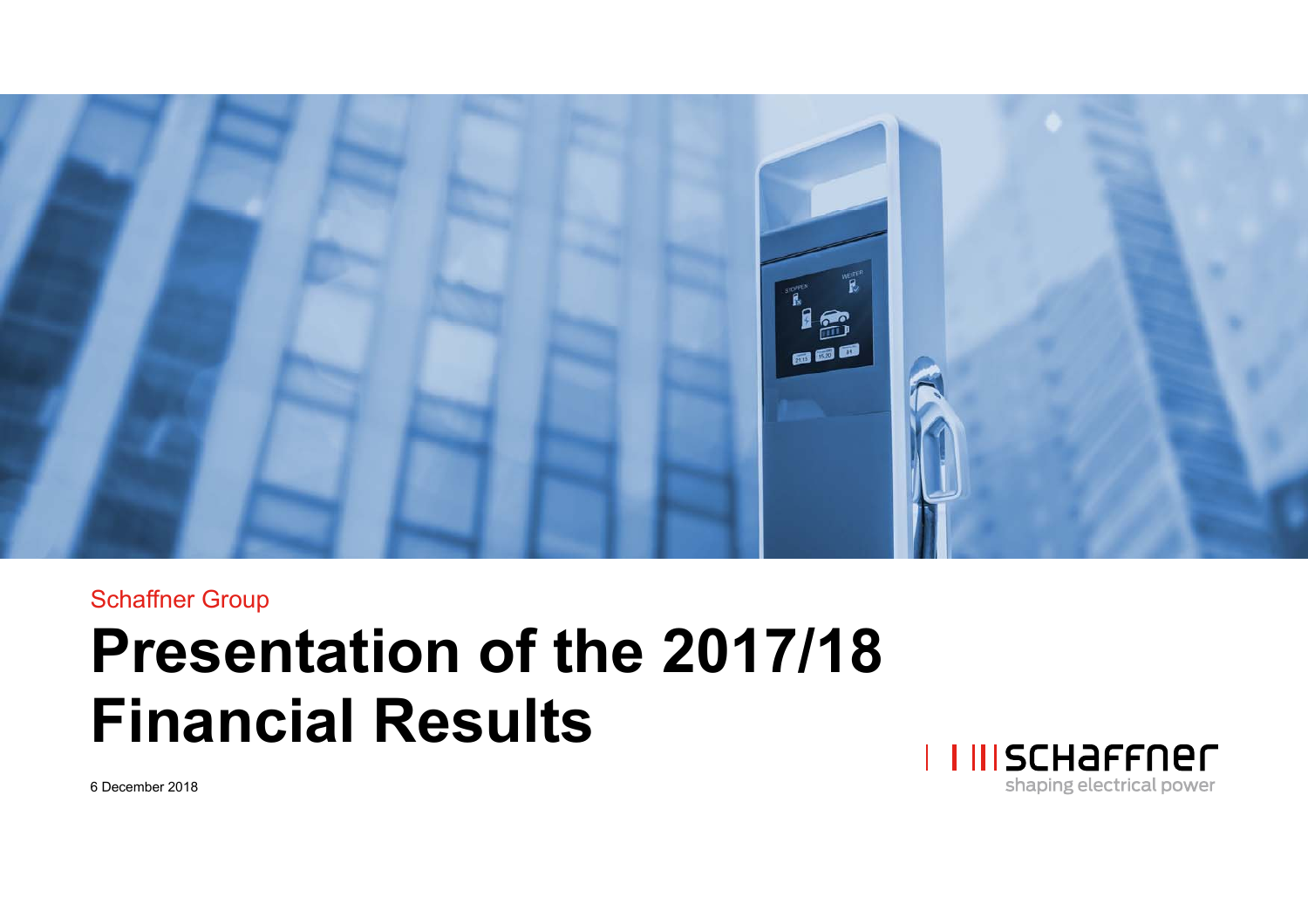

#### Schaffner Group

# **Presentation of the 2017/18 Financial Results**



6 December 2018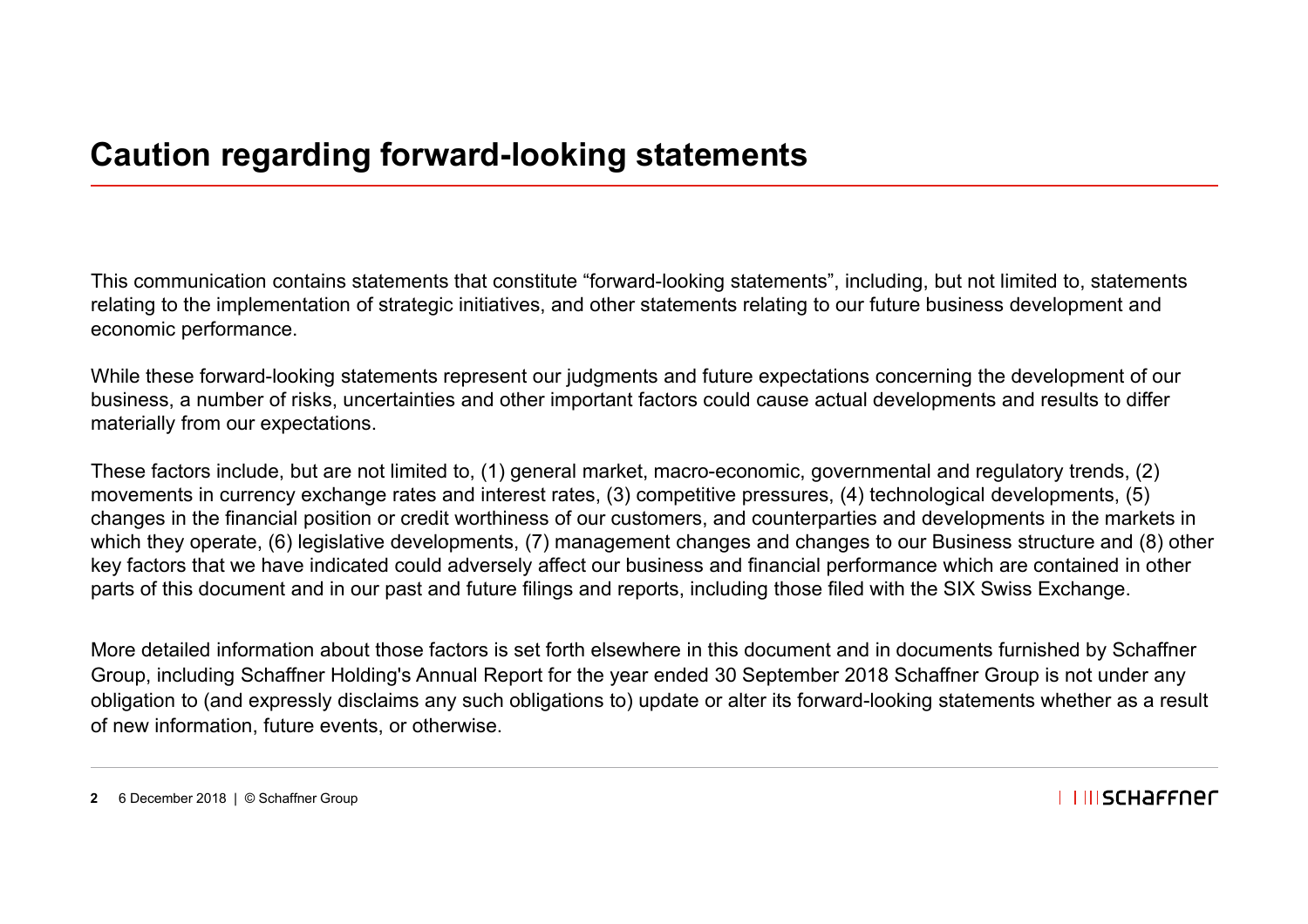This communication contains statements that constitute "forward-looking statements", including, but not limited to, statements relating to the implementation of strategic initiatives, and other statements relating to our future business development and economic performance.

While these forward-looking statements represent our judgments and future expectations concerning the development of our business, a number of risks, uncertainties and other important factors could cause actual developments and results to differ materially from our expectations.

These factors include, but are not limited to, (1) general market, macro-economic, governmental and regulatory trends, (2) movements in currency exchange rates and interest rates, (3) competitive pressures, (4) technological developments, (5) changes in the financial position or credit worthiness of our customers, and counterparties and developments in the markets in which they operate, (6) legislative developments, (7) management changes and changes to our Business structure and (8) other key factors that we have indicated could adversely affect our business and financial performance which are contained in other parts of this document and in our past and future filings and reports, including those filed with the SIX Swiss Exchange.

More detailed information about those factors is set forth elsewhere in this document and in documents furnished by Schaffner Group, including Schaffner Holding's Annual Report for the year ended 30 September 2018 Schaffner Group is not under any obligation to (and expressly disclaims any such obligations to) update or alter its forward-looking statements whether as a result of new information, future events, or otherwise.

**2** 6 December 2018 | © Schaffner Group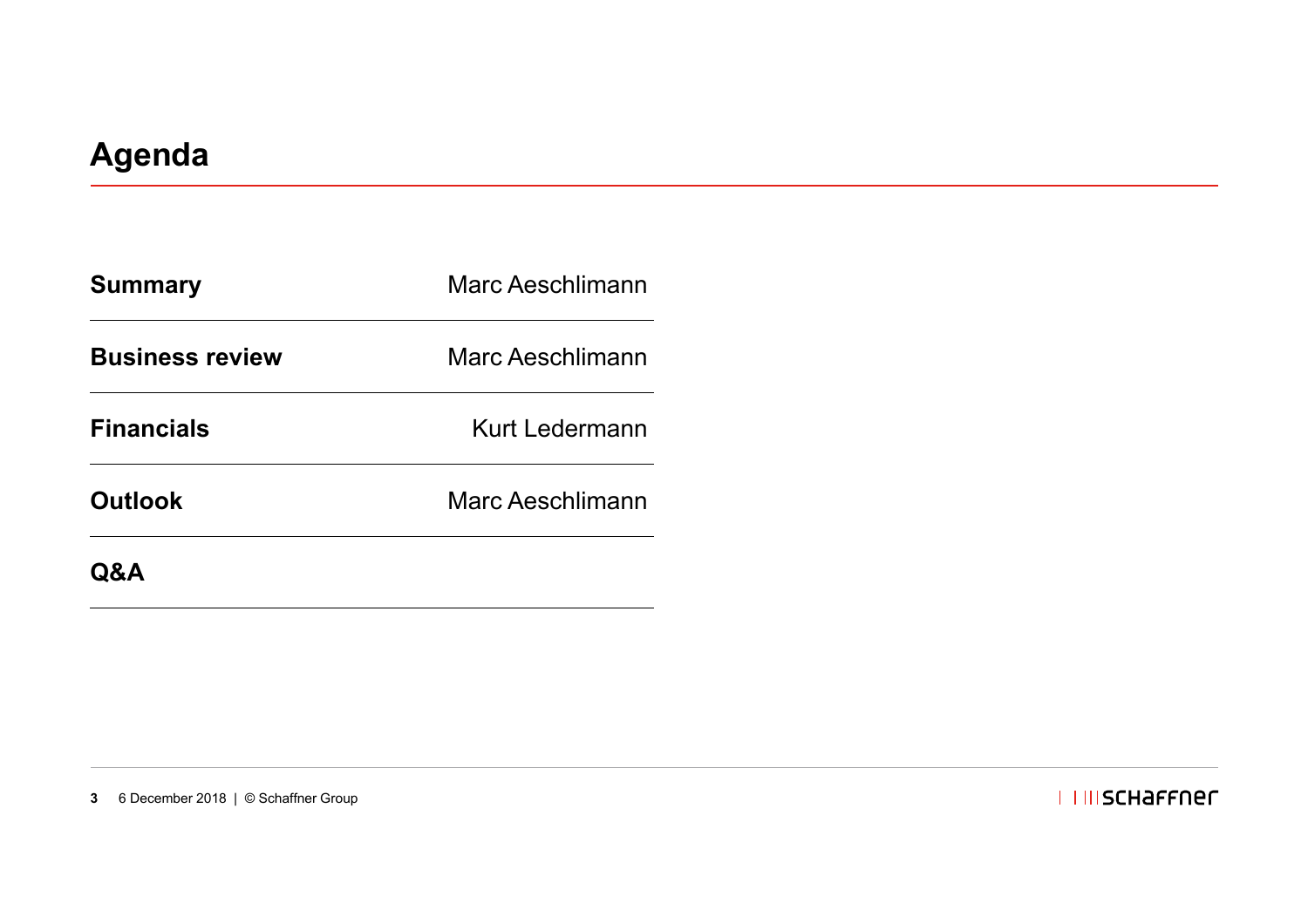| <b>Summary</b>         | Marc Aeschlimann |  |
|------------------------|------------------|--|
| <b>Business review</b> | Marc Aeschlimann |  |
| <b>Financials</b>      | Kurt Ledermann   |  |
| <b>Outlook</b>         | Marc Aeschlimann |  |
| Q&A                    |                  |  |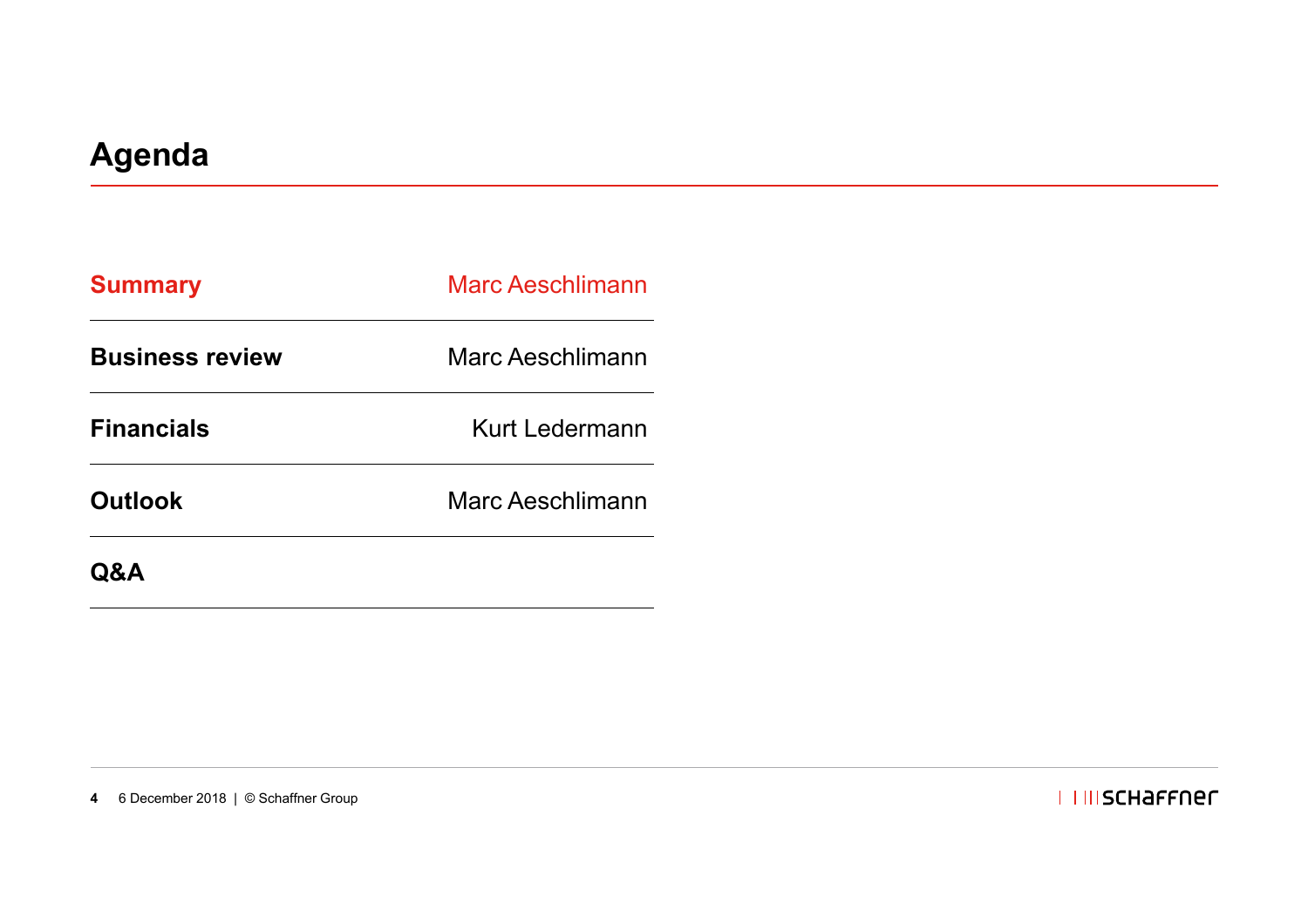| <b>Summary</b>         | <b>Marc Aeschlimann</b> |  |
|------------------------|-------------------------|--|
| <b>Business review</b> | Marc Aeschlimann        |  |
| <b>Financials</b>      | Kurt Ledermann          |  |
| <b>Outlook</b>         | Marc Aeschlimann        |  |
|                        |                         |  |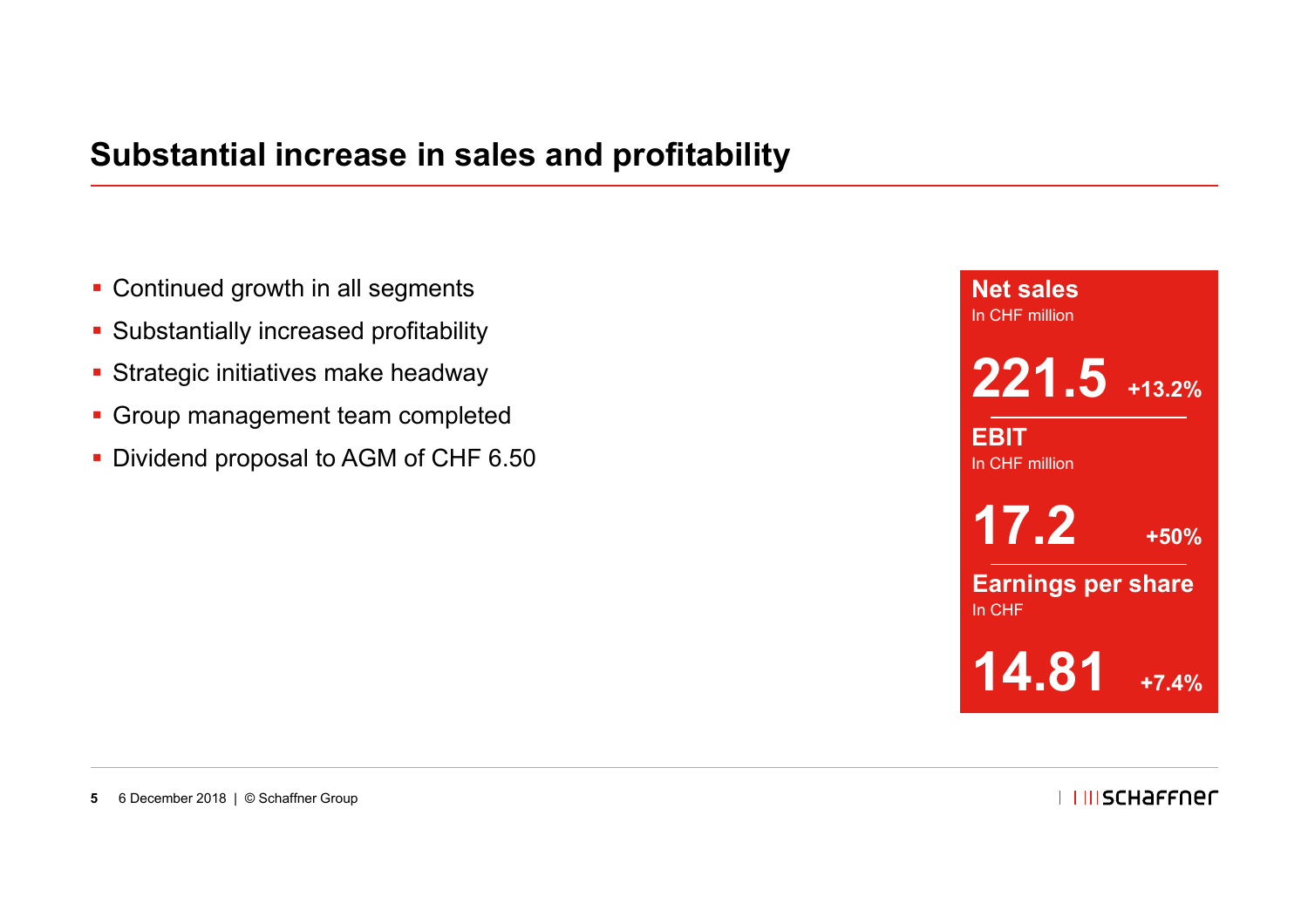### **Substantial increase in sales and profitability**

- **Continued growth in all segments**
- Substantially increased profitability
- **Strategic initiatives make headway**
- **Group management team completed**
- Dividend proposal to AGM of CHF 6.50

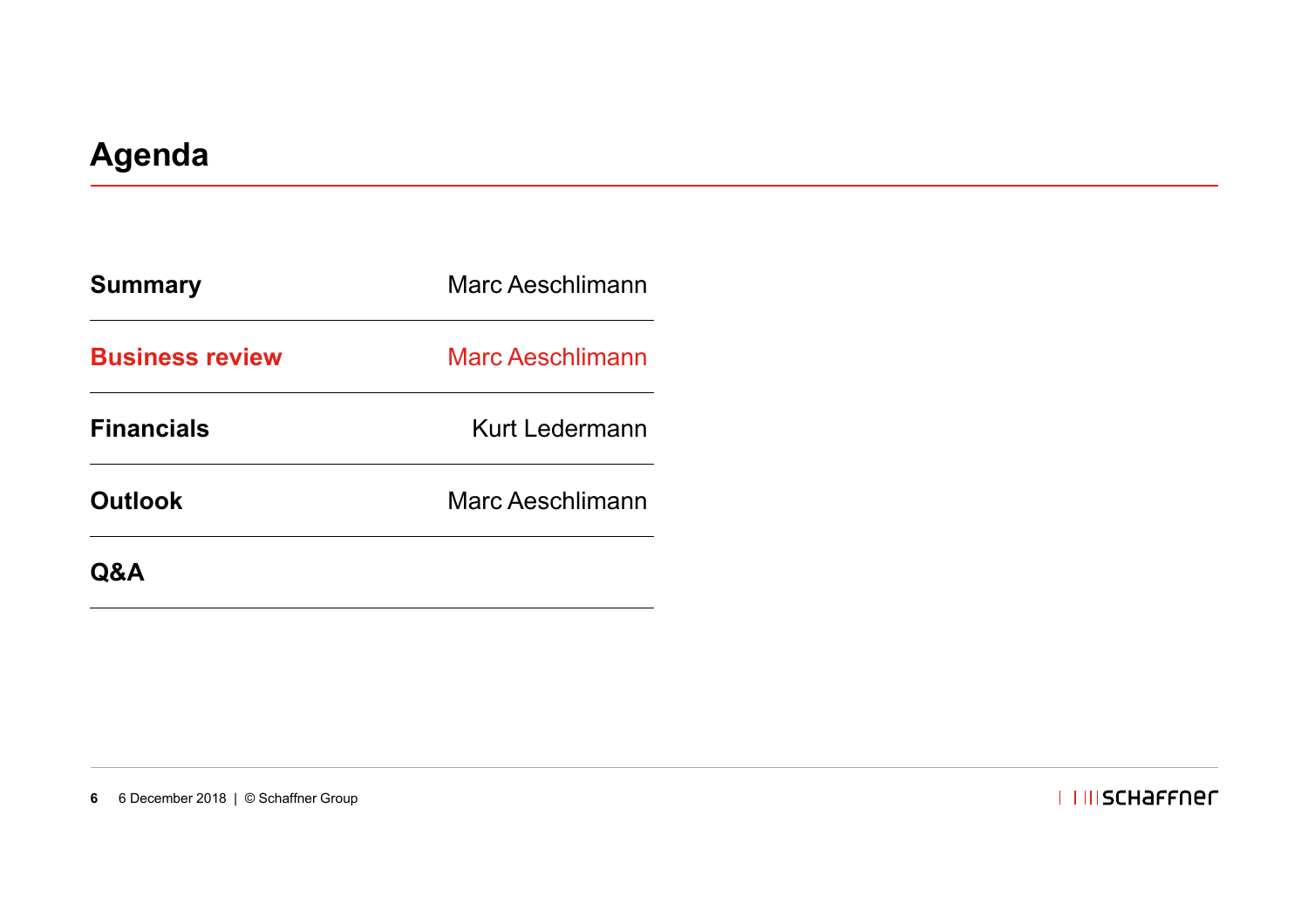| <b>Summary</b>         | Marc Aeschlimann        |  |
|------------------------|-------------------------|--|
| <b>Business review</b> | <b>Marc Aeschlimann</b> |  |
| <b>Financials</b>      | Kurt Ledermann          |  |
| <b>Outlook</b>         | Marc Aeschlimann        |  |
| <b>Q&amp;A</b>         |                         |  |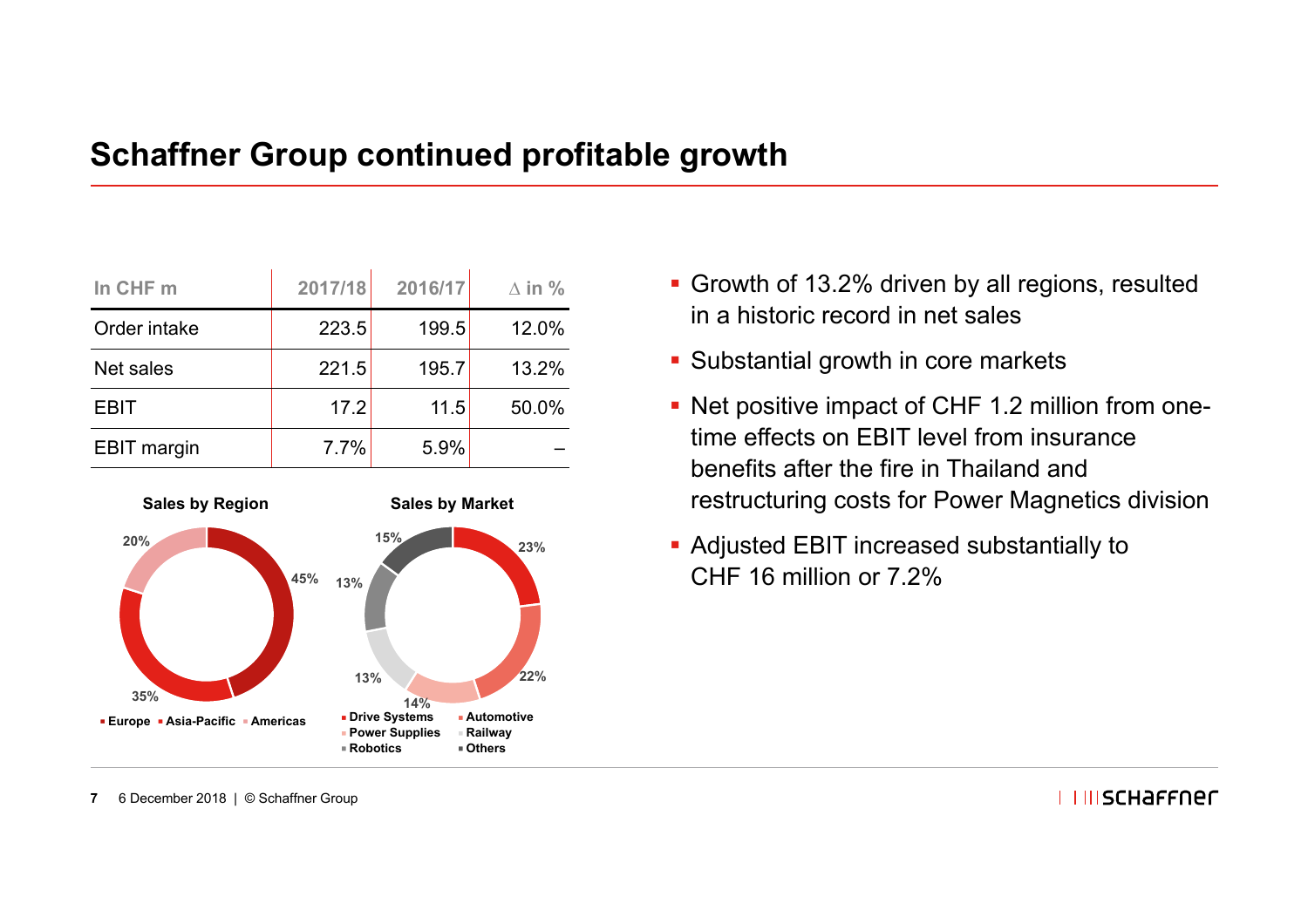### **Schaffner Group continued profitable growth**

| In CHF m           | 2017/18 | 2016/17 | $\Delta$ in % |
|--------------------|---------|---------|---------------|
| Order intake       | 223.5   | 199.5   | 12.0%         |
| Net sales          | 221.5   | 195.7   | 13.2%         |
| <b>EBIT</b>        | 17.2    | 11.5    | 50.0%         |
| <b>EBIT</b> margin | 7.7%    | 5.9%    |               |



- Growth of 13.2% driven by all regions, resulted in a historic record in net sales
- Substantial growth in core markets
- Net positive impact of CHF 1.2 million from onetime effects on EBIT level from insurance benefits after the fire in Thailand and restructuring costs for Power Magnetics division
- Adjusted EBIT increased substantially to CHF 16 million or 7.2%

**7**6 December 2018 | © Schaffner Group **I I IIISCHAFFNEC**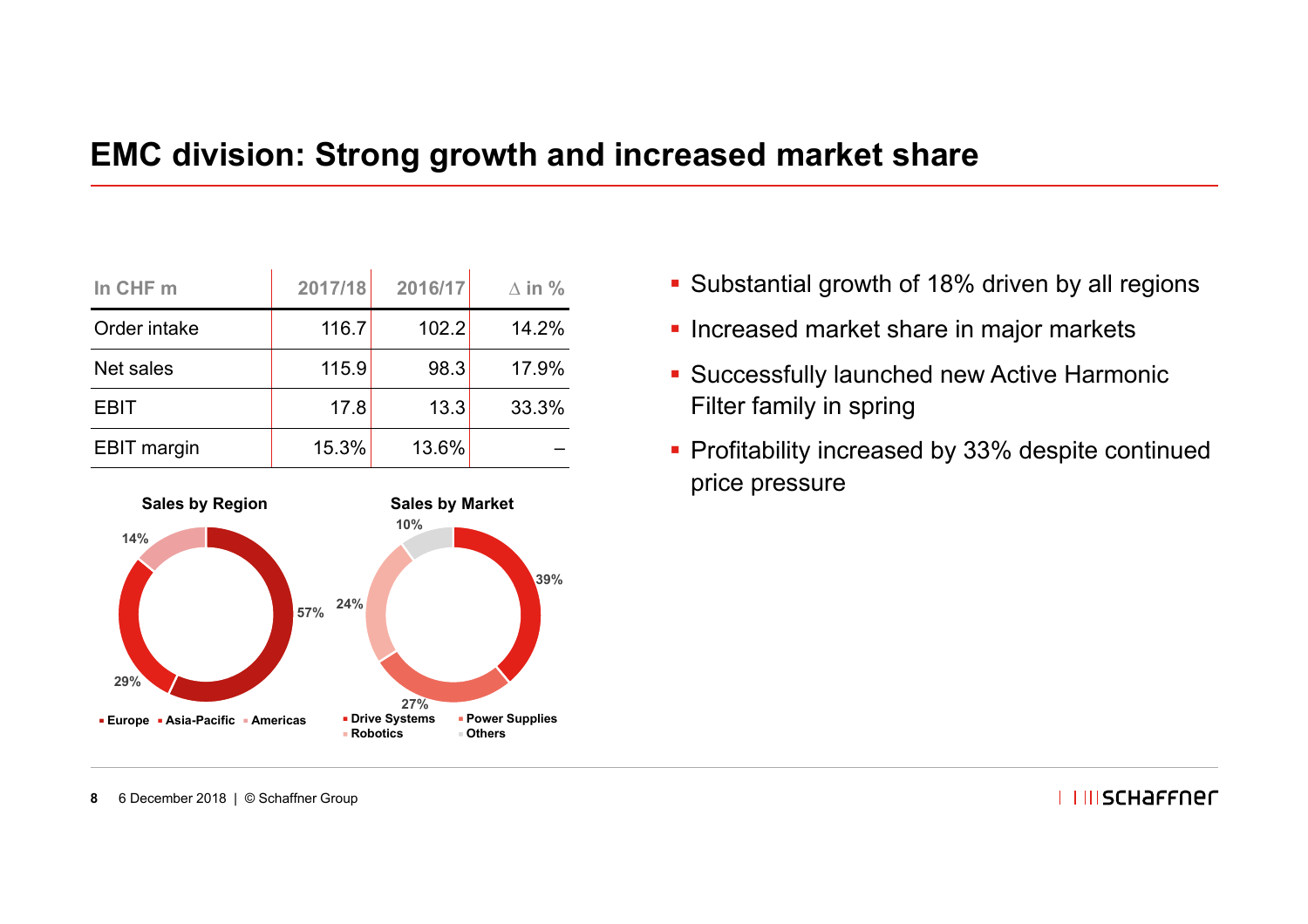### **EMC division: Strong growth and increased market share**

| In CHF m           | 2017/18 | 2016/17 | $\Delta$ in % |
|--------------------|---------|---------|---------------|
| Order intake       | 116.7   | 102.2   | 14.2%         |
| Net sales          | 115.9   | 98.3    | 17.9%         |
| <b>EBIT</b>        | 17.8    | 13.3    | 33.3%         |
| <b>EBIT</b> margin | 15.3%   | 13.6%   |               |



- **Substantial growth of 18% driven by all regions**
- **Increased market share in major markets**
- **Successfully launched new Active Harmonic** Filter family in spring
- Profitability increased by 33% despite continued price pressure

**8**6 December 2018 | © Schaffner Group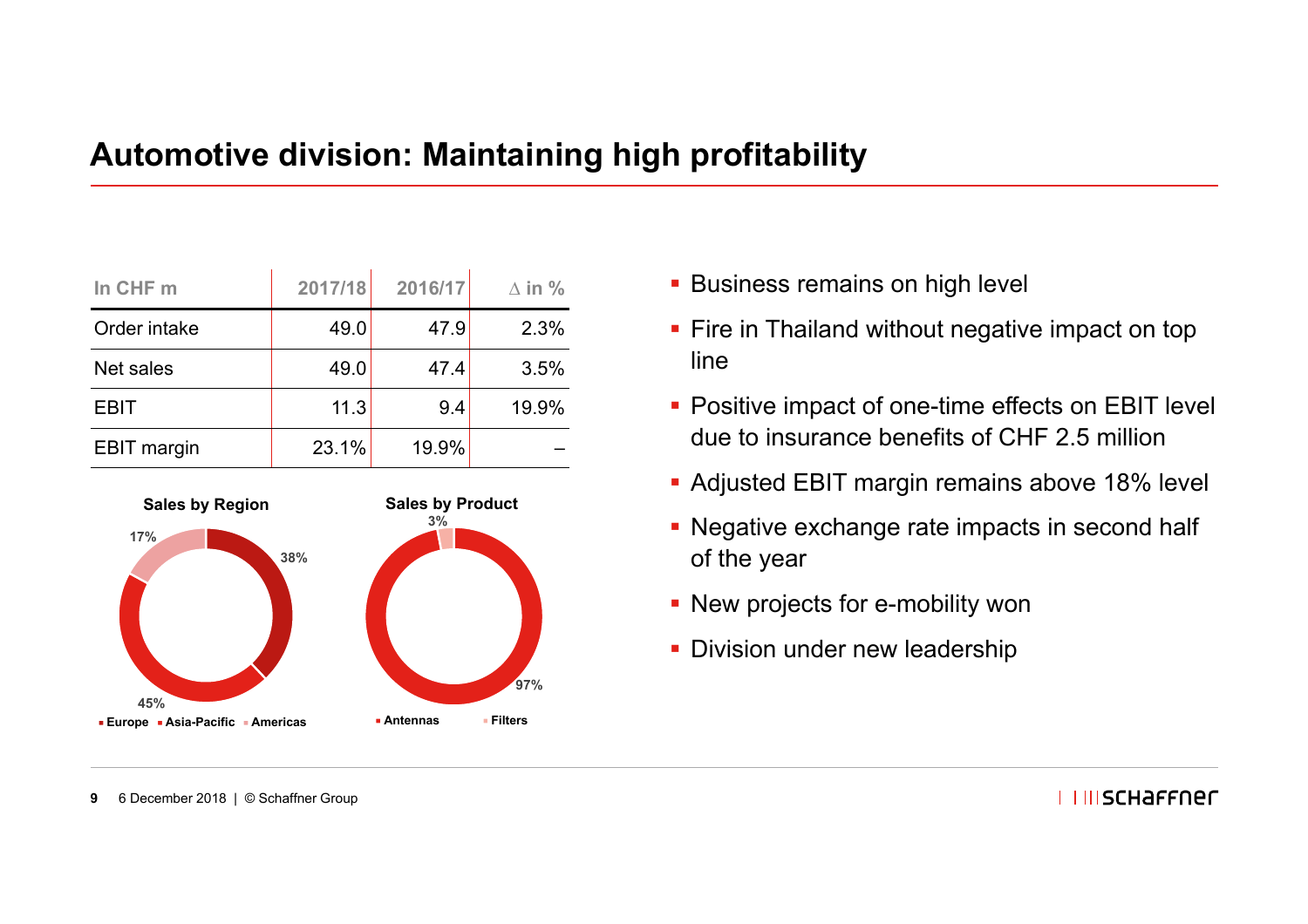### **Automotive division: Maintaining high profitability**

| In CHF m           | 2017/18 | 2016/17 | $\Delta$ in % |
|--------------------|---------|---------|---------------|
| Order intake       | 49.0    | 47.9    | 2.3%          |
| Net sales          | 49.0    | 47.4    | 3.5%          |
| <b>EBIT</b>        | 11.3    | 9.4     | 19.9%         |
| <b>EBIT</b> margin | 23.1%   | 19.9%   |               |



- **Business remains on high level**
- Fire in Thailand without negative impact on top line
- **Positive impact of one-time effects on EBIT level** due to insurance benefits of CHF 2.5 million
- **Adjusted EBIT margin remains above 18% level**
- **Negative exchange rate impacts in second half** of the year
- **New projects for e-mobility won**
- **Division under new leadership**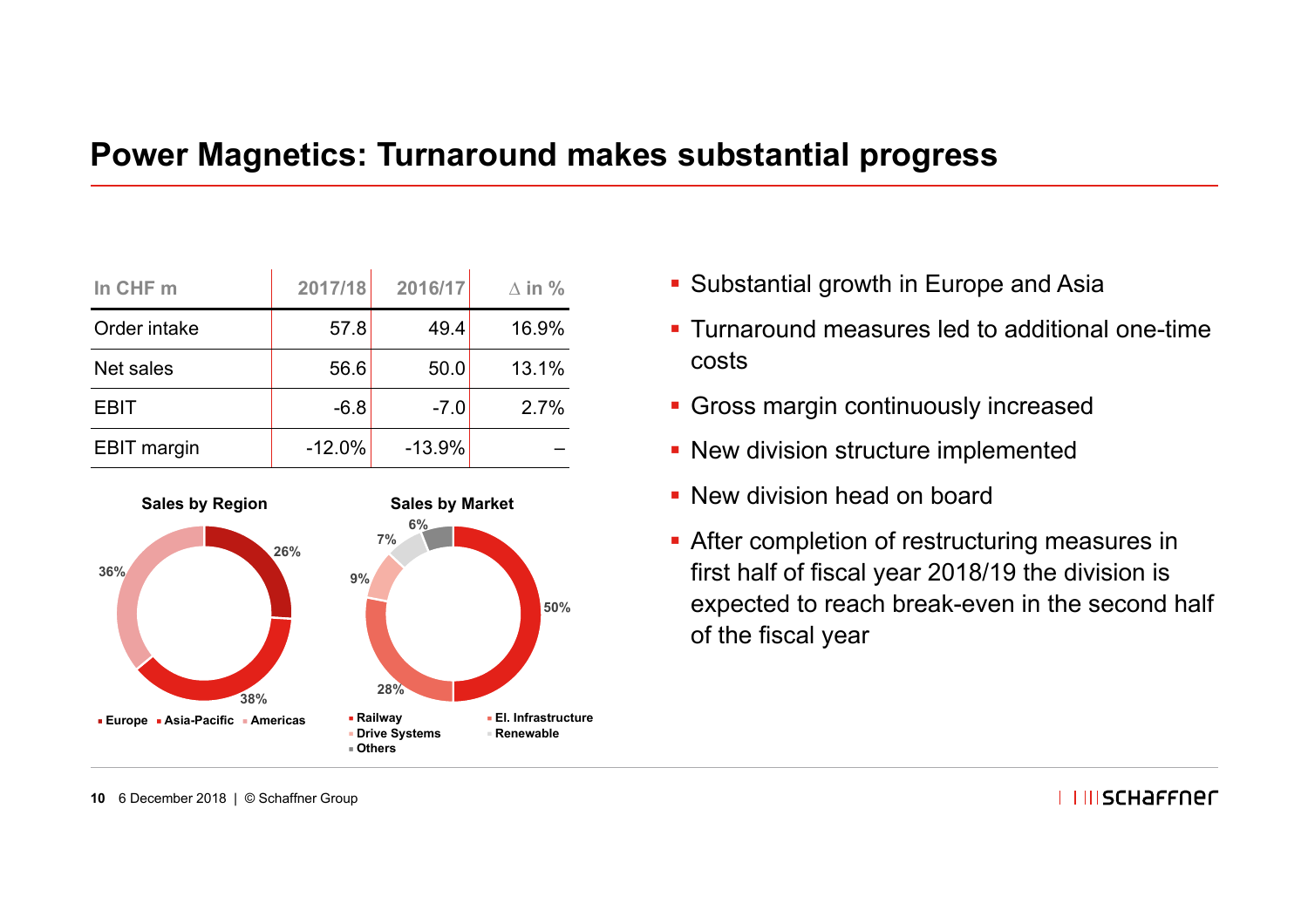### **Power Magnetics: Turnaround makes substantial progress**

| In CHF m           | 2017/18  | 2016/17  | $\Delta$ in % |
|--------------------|----------|----------|---------------|
| Order intake       | 57.8     | 49.4     | 16.9%         |
| Net sales          | 56.6     | 50.0     | 13.1%         |
| <b>EBIT</b>        | $-6.8$   | $-7.0$   | 2.7%          |
| <b>EBIT</b> margin | $-12.0%$ | $-13.9%$ |               |



- **Substantial growth in Europe and Asia**
- Turnaround measures led to additional one-time costs
- **Gross margin continuously increased**
- **New division structure implemented**
- **New division head on board**
- **After completion of restructuring measures in** first half of fiscal year 2018/19 the division is expected to reach break-even in the second half of the fiscal year

**10** 6 December 2018 | © Schaffner Group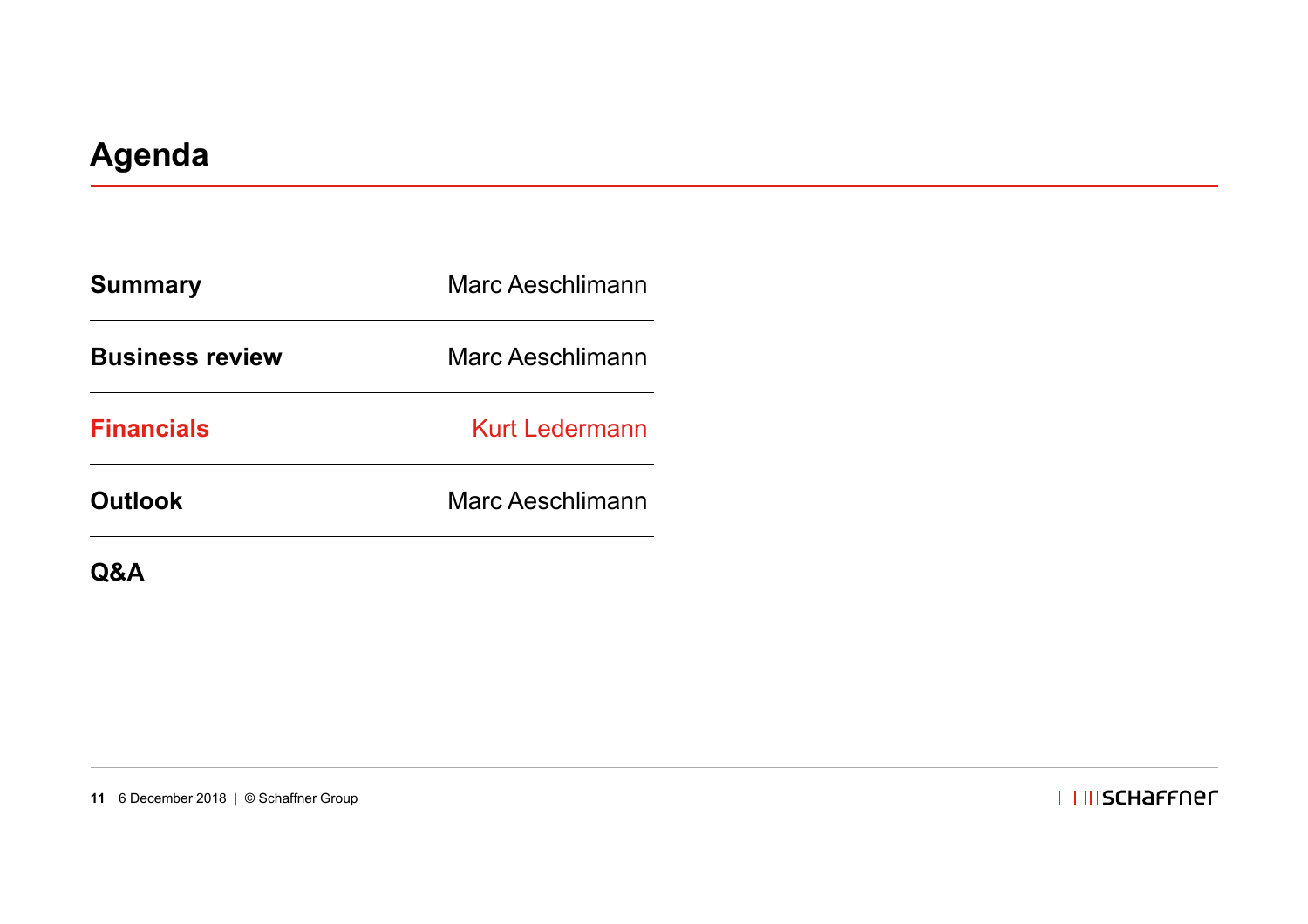| <b>Summary</b>         | <b>Marc Aeschlimann</b> |  |
|------------------------|-------------------------|--|
| <b>Business review</b> | <b>Marc Aeschlimann</b> |  |
| <b>Financials</b>      | <b>Kurt Ledermann</b>   |  |
| <b>Outlook</b>         | Marc Aeschlimann        |  |
| Q&A                    |                         |  |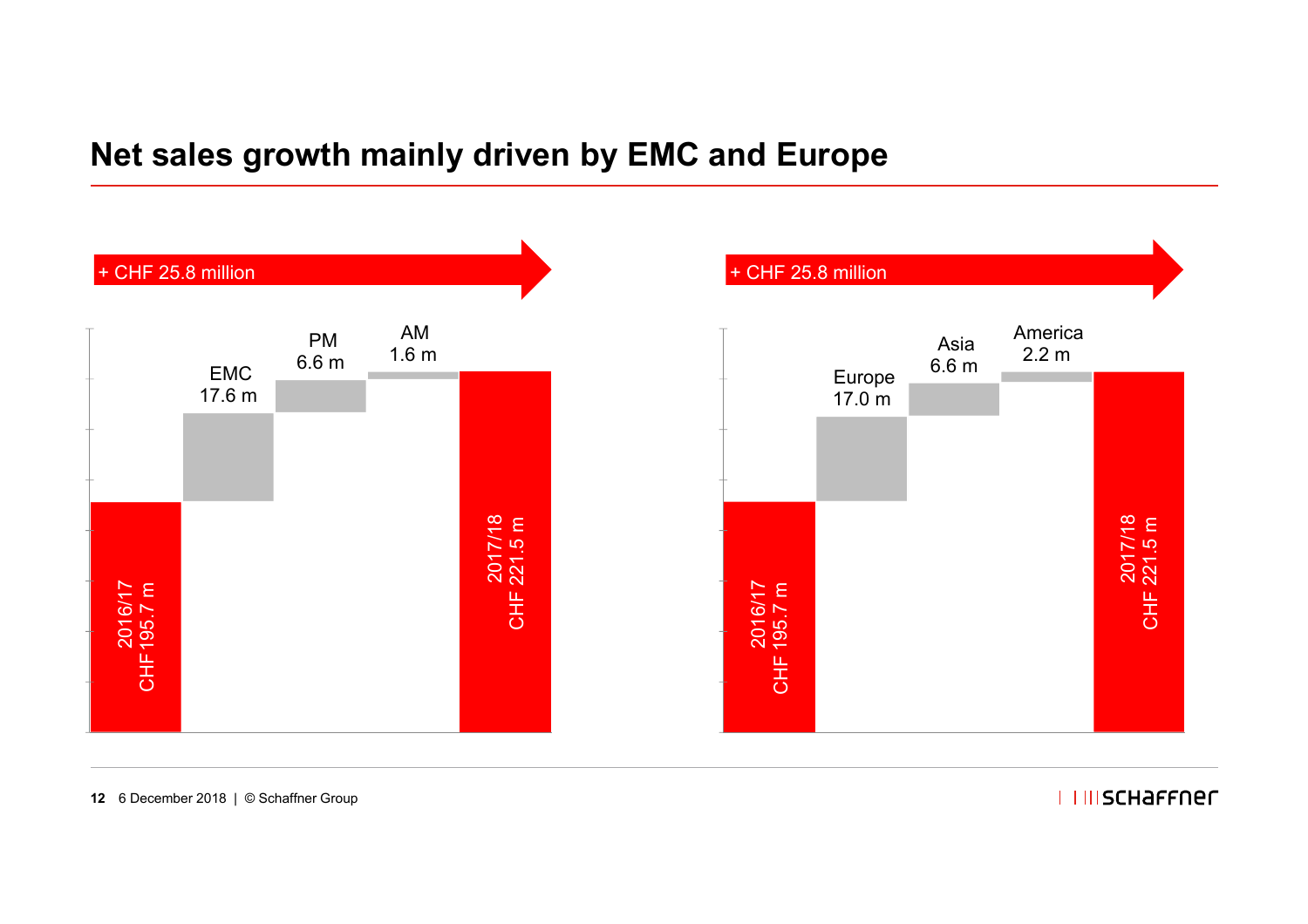### **Net sales growth mainly driven by EMC and Europe**



#### **I IIIISCHAFFNEL**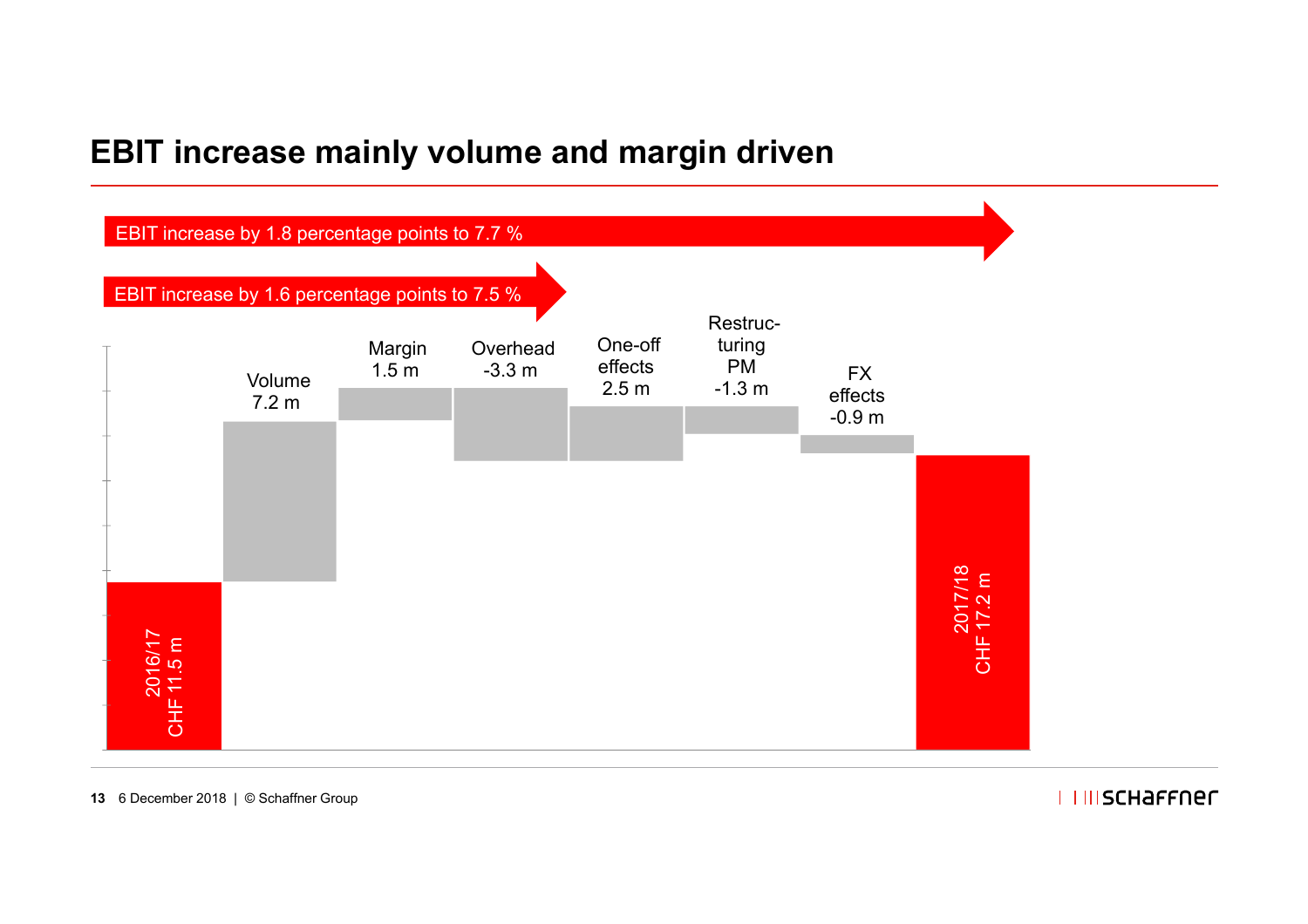### **EBIT increase mainly volume and margin driven**



#### **I IIIISCHAFFNEL**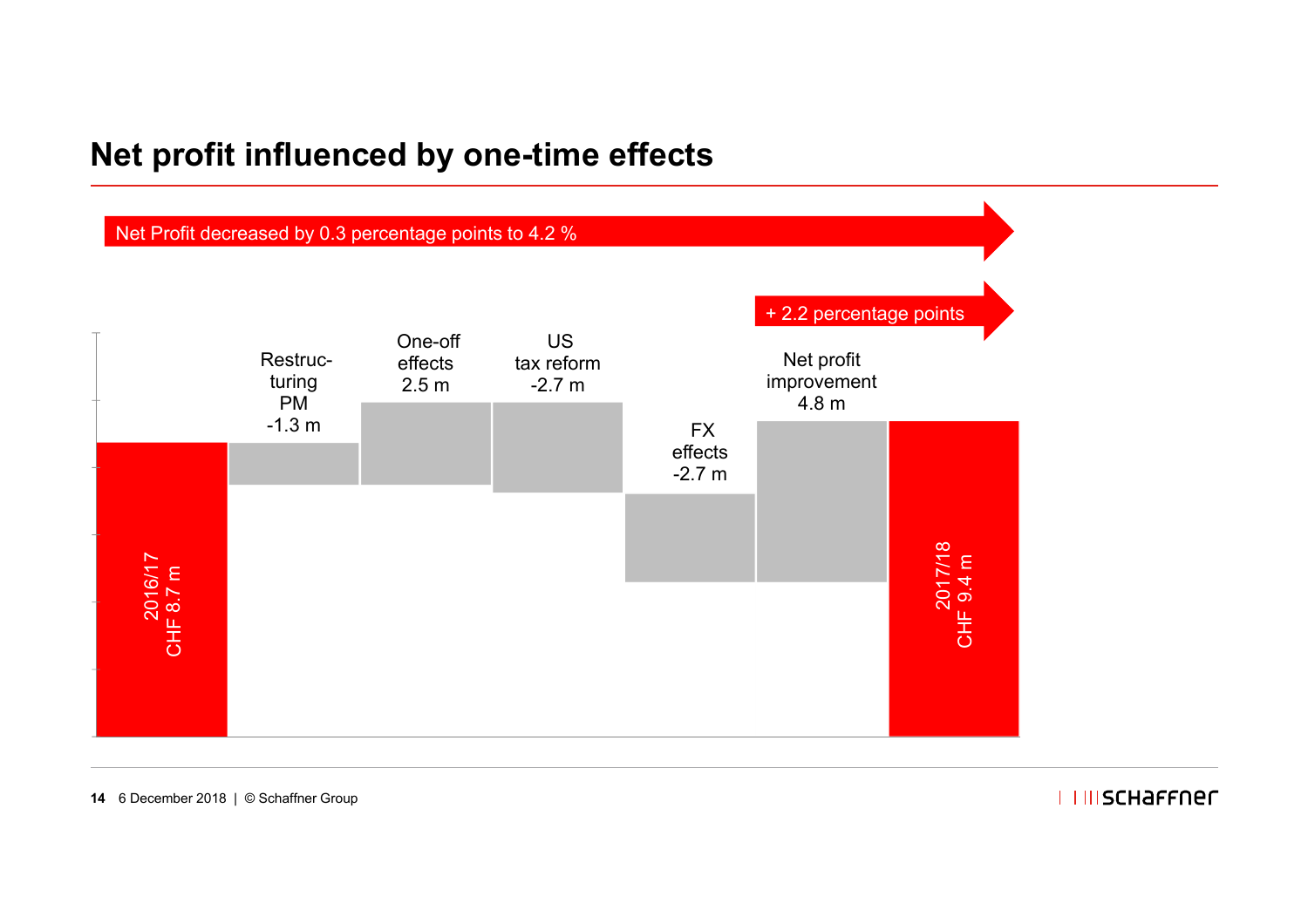### **Net profit influenced by one-time effects**



#### **I IIIISCHAFFNEL**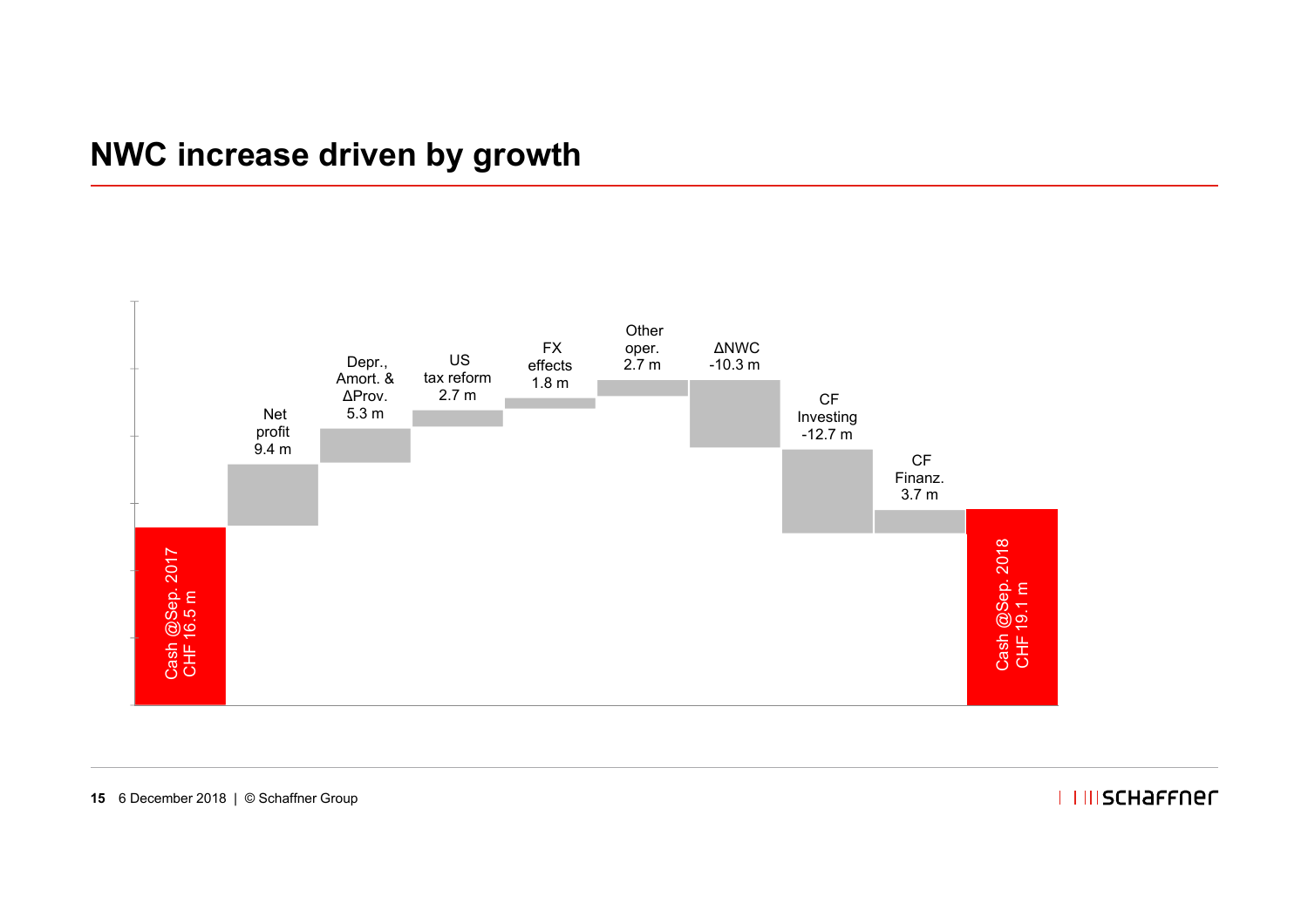### **NWC increase driven by growth**



#### **I IIISCHAFFNEL**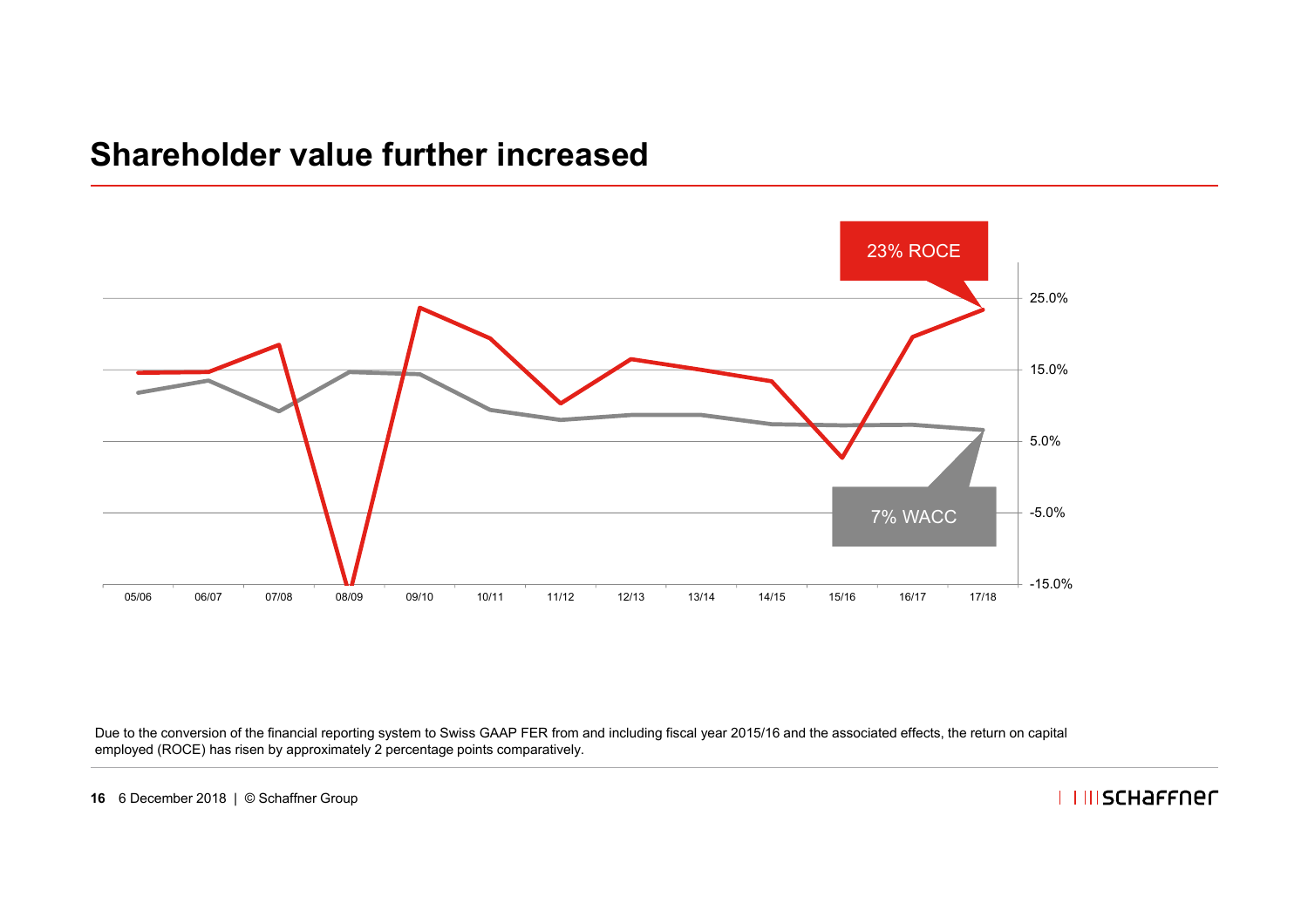### **Shareholder value further increased**



Due to the conversion of the financial reporting system to Swiss GAAP FER from and including fiscal year 2015/16 and the associated effects, the return on capital employed (ROCE) has risen by approximately 2 percentage points comparatively.

**I IIISCHAFFNEL**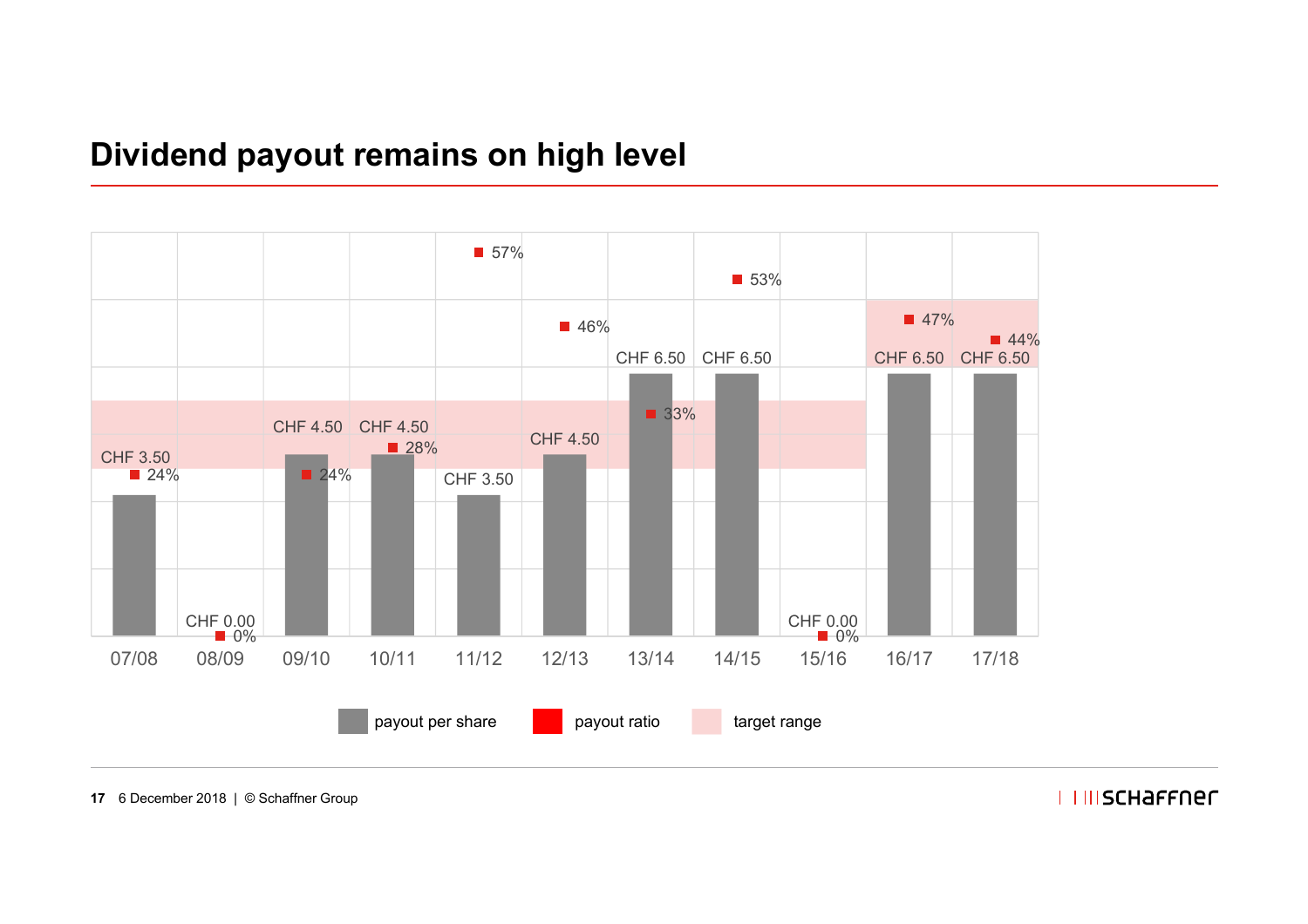### **Dividend payout remains on high level**



**17** 6 December 2018 | © Schaffner Group

I I IIISCHAFFNER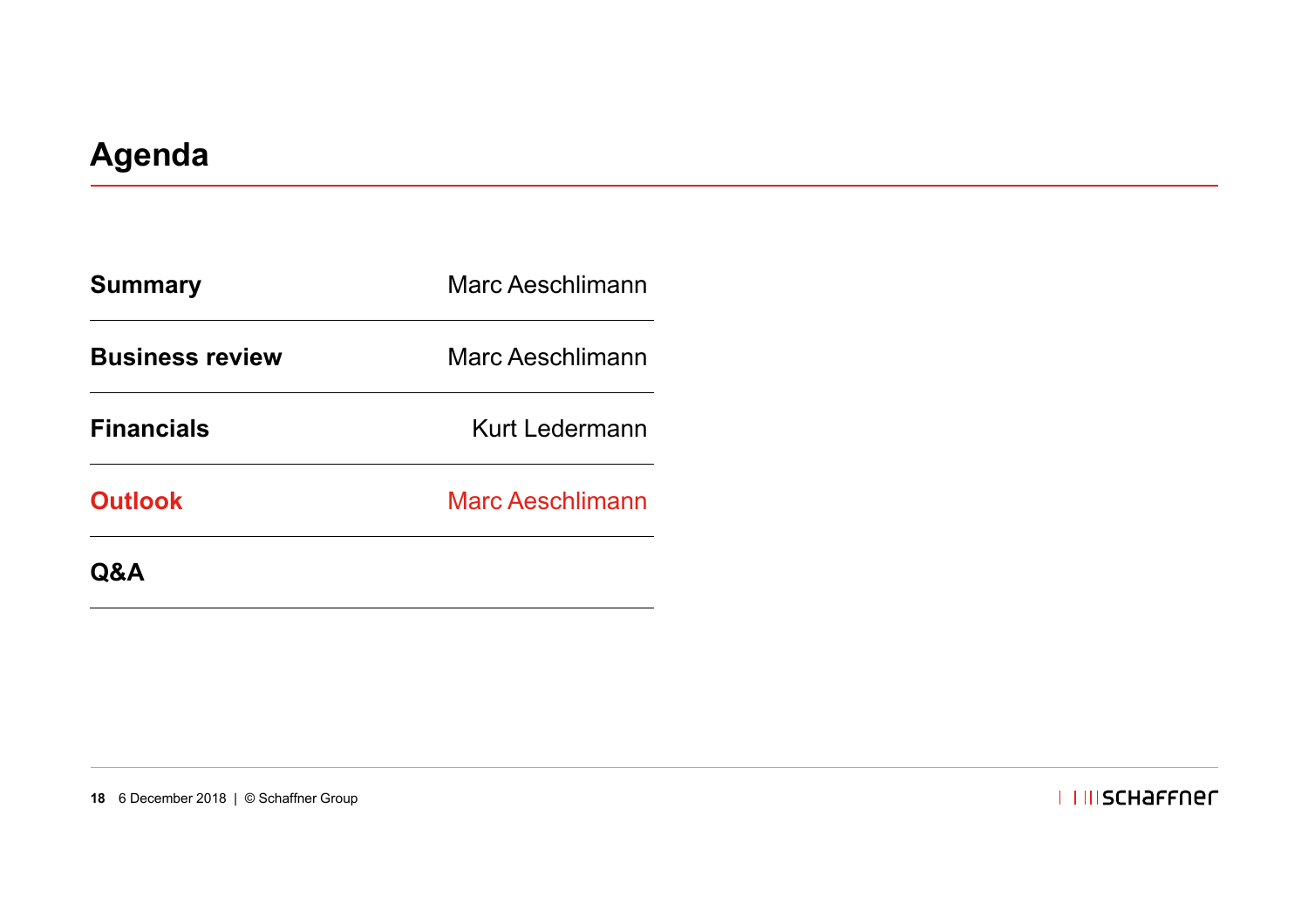| <b>Summary</b>         | Marc Aeschlimann        |  |
|------------------------|-------------------------|--|
| <b>Business review</b> | Marc Aeschlimann        |  |
| <b>Financials</b>      | Kurt Ledermann          |  |
| <b>Outlook</b>         | <b>Marc Aeschlimann</b> |  |
| <b>Q&amp;A</b>         |                         |  |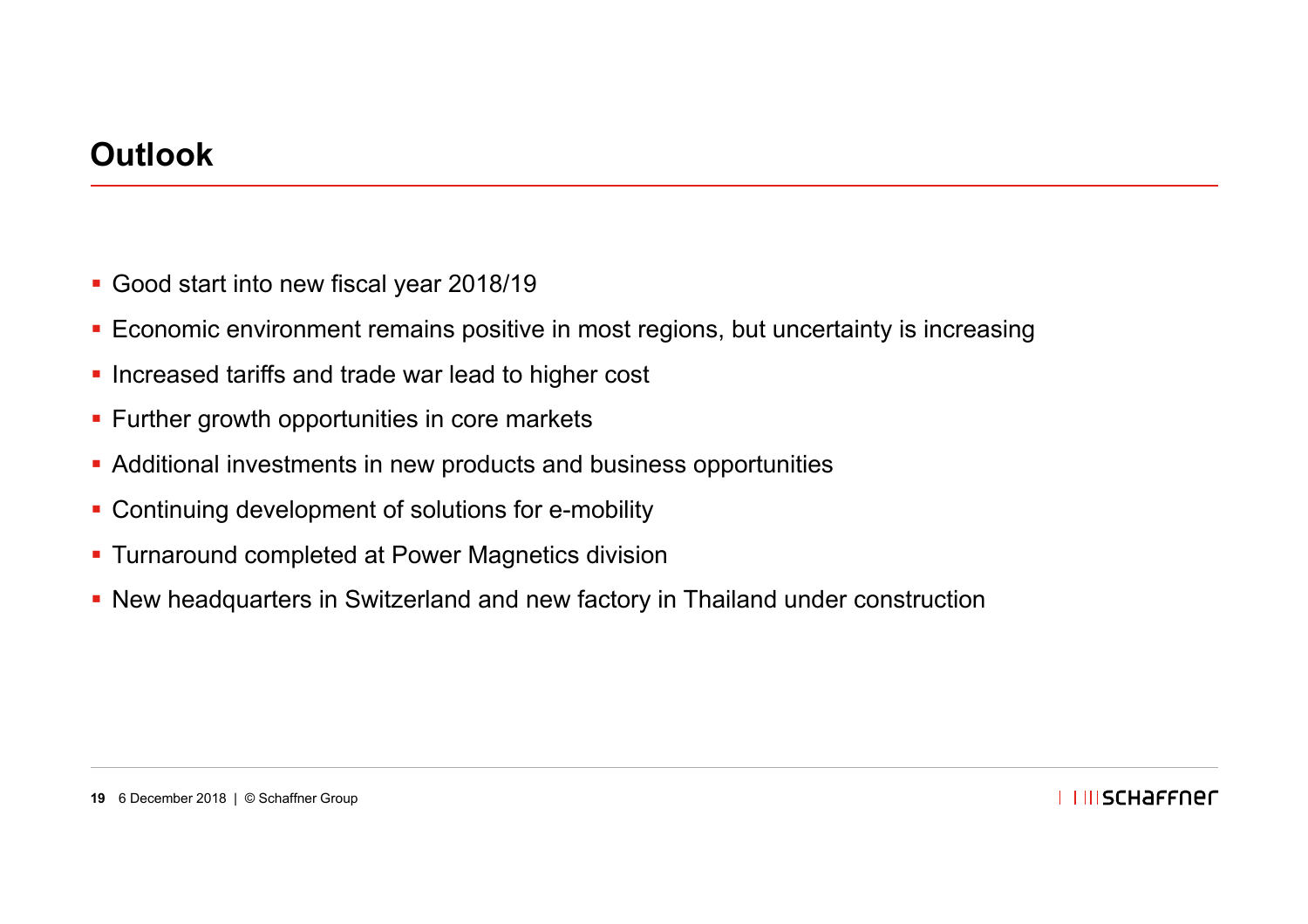### **Outlook**

- Good start into new fiscal year 2018/19
- Economic environment remains positive in most regions, but uncertainty is increasing
- **Increased tariffs and trade war lead to higher cost**
- **Further growth opportunities in core markets**
- Additional investments in new products and business opportunities
- **Continuing development of solutions for e-mobility**
- **Turnaround completed at Power Magnetics division**
- New headquarters in Switzerland and new factory in Thailand under construction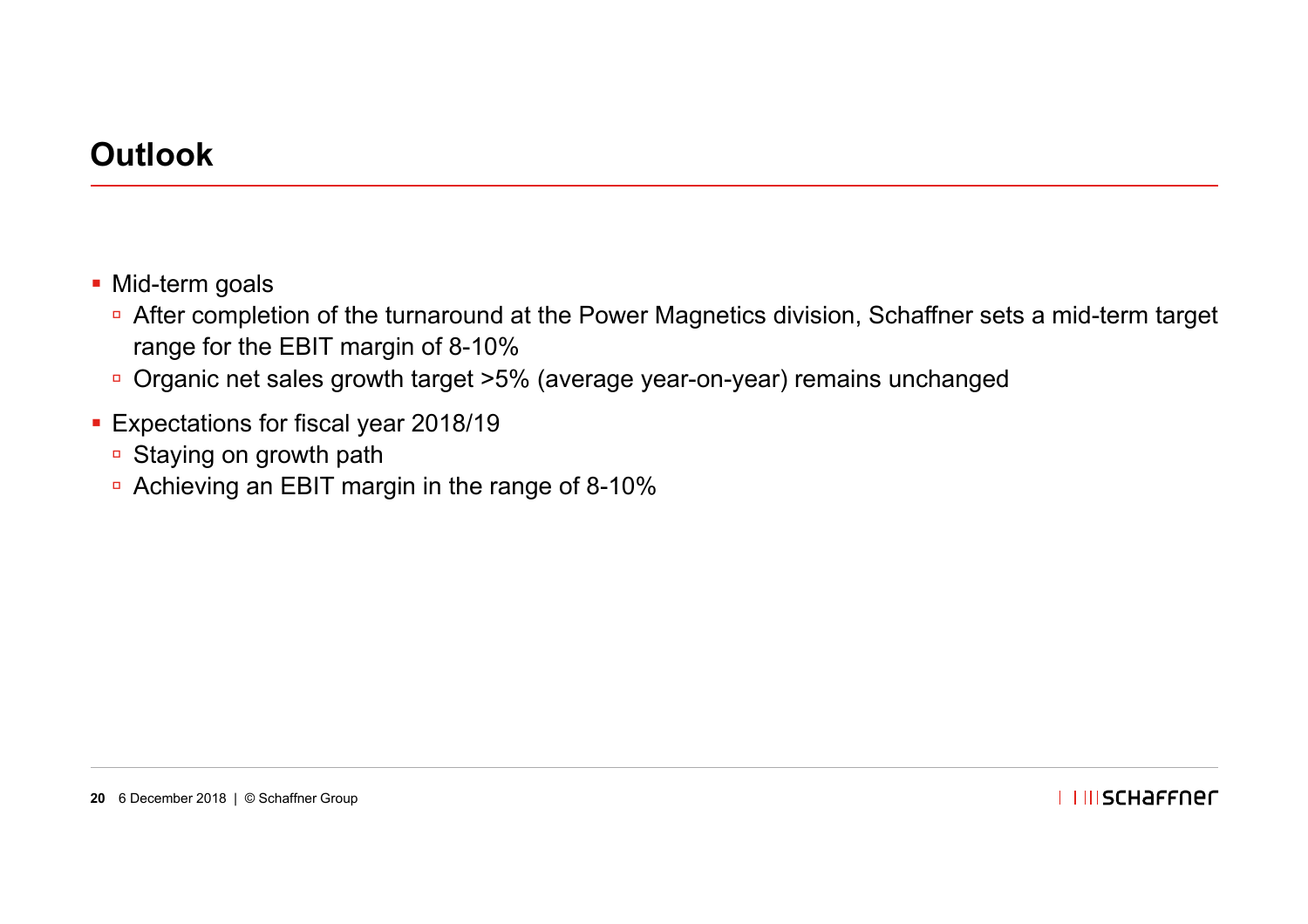### **Outlook**

- Mid-term goals
	- □ After completion of the turnaround at the Power Magnetics division, Schaffner sets a mid-term target range for the EBIT margin of 8-10%
	- □ Organic net sales growth target >5% (average year-on-year) remains unchanged
- Expectations for fiscal year 2018/19
	- □ Staying on growth path
	- Achieving an EBIT margin in the range of 8-10%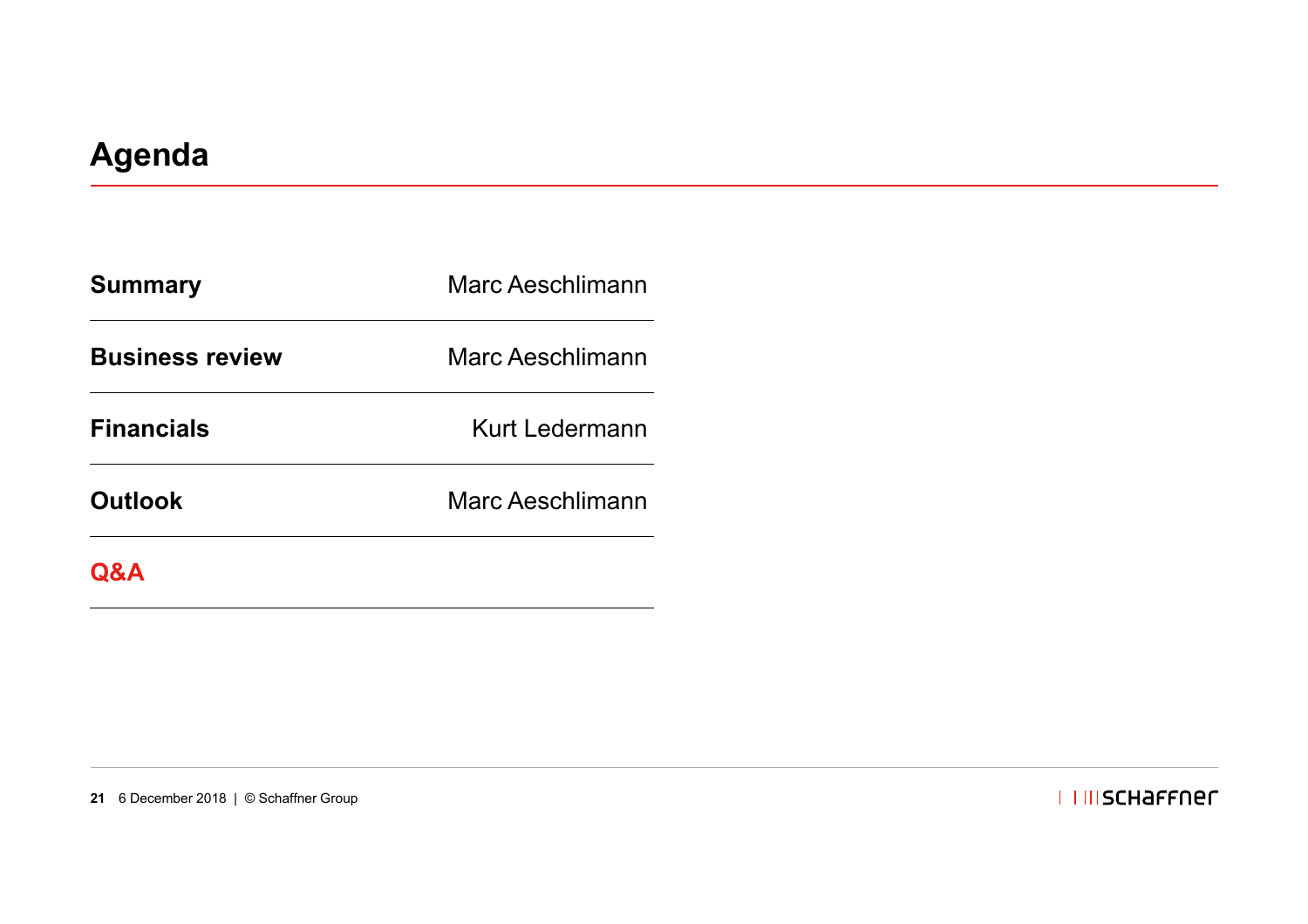| <b>Summary</b>         | Marc Aeschlimann |  |
|------------------------|------------------|--|
| <b>Business review</b> | Marc Aeschlimann |  |
| <b>Financials</b>      | Kurt Ledermann   |  |
| <b>Outlook</b>         | Marc Aeschlimann |  |
|                        |                  |  |